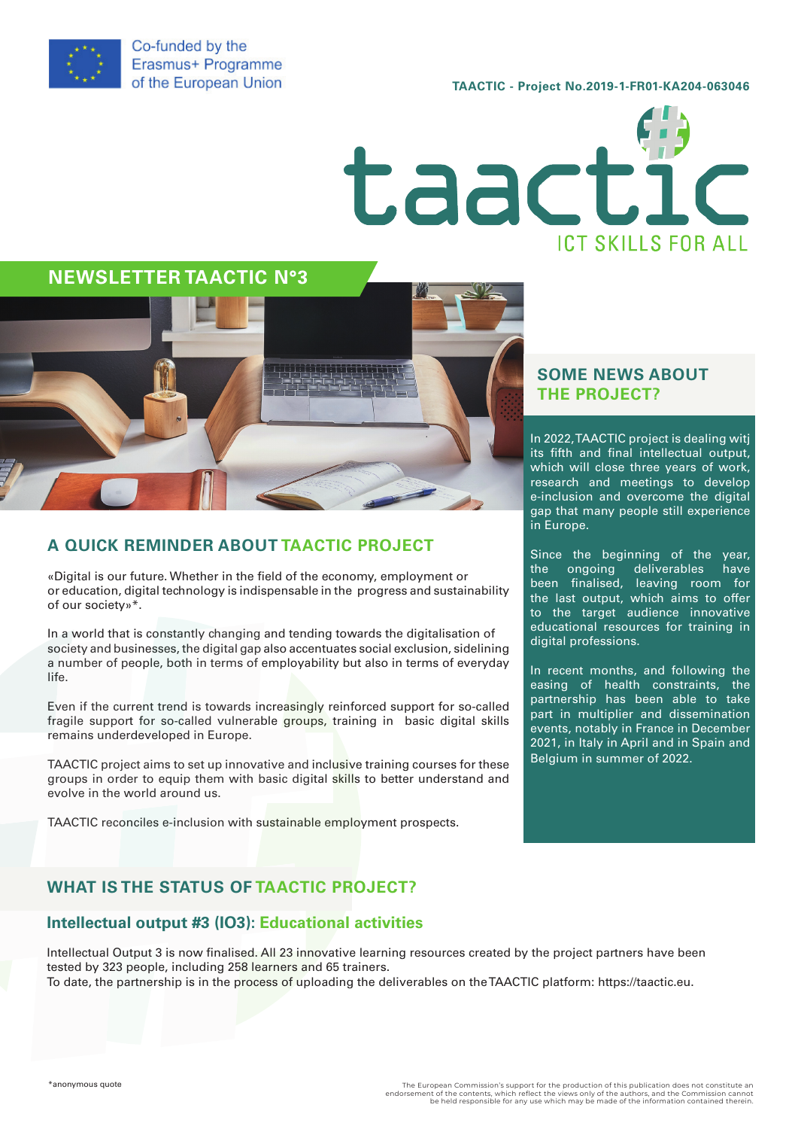

**TAACTIC - Project No.2019-1-FR01-KA204-063046**



**NEWSLETTER TAACTIC N°3**



## **A QUICK REMINDER ABOUT TAACTIC PROJECT**

«Digital is our future. Whether in the field of the economy, employment or or education, digital technology is indispensable in the progress and sustainability of our society»\*.

In a world that is constantly changing and tending towards the digitalisation of society and businesses, the digital gap also accentuates social exclusion, sidelining a number of people, both in terms of employability but also in terms of everyday life.

Even if the current trend is towards increasingly reinforced support for so-called fragile support for so-called vulnerable groups, training in basic digital skills remains underdeveloped in Europe.

TAACTIC project aims to set up innovative and inclusive training courses for these groups in order to equip them with basic digital skills to better understand and evolve in the world around us.

TAACTIC reconciles e-inclusion with sustainable employment prospects.

#### **SOME NEWS ABOUT THE PROJECT?**

In 2022, TAACTIC project is dealing witj its fifth and final intellectual output, which will close three years of work, research and meetings to develop e-inclusion and overcome the digital gap that many people still experience in Europe.

Since the beginning of the year, the ongoing deliverables have been finalised, leaving room for the last output, which aims to offer to the target audience innovative educational resources for training in digital professions.

In recent months, and following the easing of health constraints, the partnership has been able to take part in multiplier and dissemination events, notably in France in December 2021, in Italy in April and in Spain and Belgium in summer of 2022.

## **WHAT IS THE STATUS OF TAACTIC PROJECT?**

#### **Intellectual output #3 (IO3): Educational activities**

Intellectual Output 3 is now finalised. All 23 innovative learning resources created by the project partners have been tested by 323 people, including 258 learners and 65 trainers. To date, the partnership is in the process of uploading the deliverables on the TAACTIC platform: https://taactic.eu.